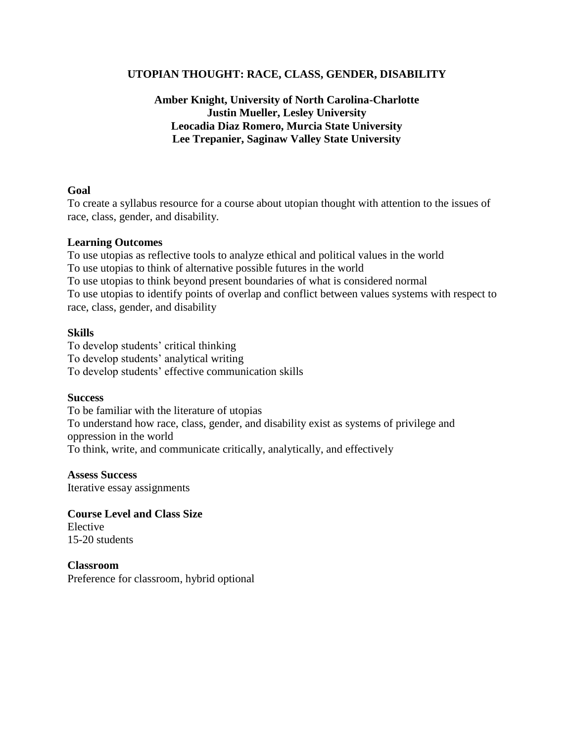### **UTOPIAN THOUGHT: RACE, CLASS, GENDER, DISABILITY**

### **Amber Knight, University of North Carolina-Charlotte Justin Mueller, Lesley University Leocadia Diaz Romero, Murcia State University Lee Trepanier, Saginaw Valley State University**

### **Goal**

To create a syllabus resource for a course about utopian thought with attention to the issues of race, class, gender, and disability.

### **Learning Outcomes**

To use utopias as reflective tools to analyze ethical and political values in the world To use utopias to think of alternative possible futures in the world To use utopias to think beyond present boundaries of what is considered normal To use utopias to identify points of overlap and conflict between values systems with respect to race, class, gender, and disability

### **Skills**

To develop students' critical thinking To develop students' analytical writing To develop students' effective communication skills

### **Success**

To be familiar with the literature of utopias To understand how race, class, gender, and disability exist as systems of privilege and oppression in the world To think, write, and communicate critically, analytically, and effectively

**Assess Success** Iterative essay assignments

**Course Level and Class Size** Elective 15-20 students

**Classroom** Preference for classroom, hybrid optional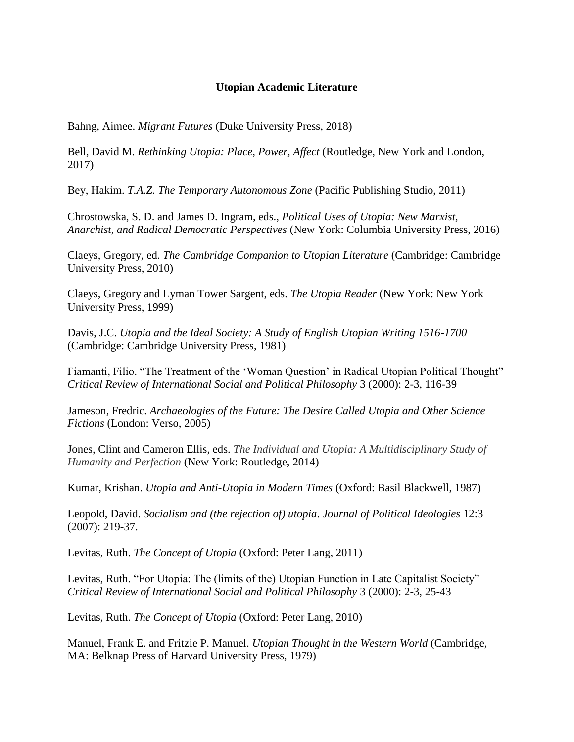### **Utopian Academic Literature**

Bahng, Aimee. *Migrant Futures* (Duke University Press, 2018)

Bell, David M. *Rethinking Utopia: Place, Power, Affect* (Routledge, New York and London, 2017)

Bey, Hakim. *T.A.Z. The Temporary Autonomous Zone* (Pacific Publishing Studio, 2011)

Chrostowska, S. D. and James D. Ingram, eds., *Political Uses of Utopia: New Marxist, Anarchist, and Radical Democratic Perspectives* (New York: Columbia University Press, 2016)

Claeys, Gregory, ed. *The Cambridge Companion to Utopian Literature* (Cambridge: Cambridge University Press, 2010)

Claeys, Gregory and Lyman Tower Sargent, eds. *The Utopia Reader* (New York: New York University Press, 1999)

Davis, J.C. *Utopia and the Ideal Society: A Study of English Utopian Writing 1516-1700* (Cambridge: Cambridge University Press, 1981)

Fiamanti, Filio. "The Treatment of the 'Woman Question' in Radical Utopian Political Thought" *Critical Review of International Social and Political Philosophy* 3 (2000): 2-3, 116-39

Jameson, Fredric. *Archaeologies of the Future: The Desire Called Utopia and Other Science Fictions* (London: Verso, 2005)

Jones, Clint and Cameron Ellis, eds. *The Individual and Utopia: A Multidisciplinary Study of Humanity and Perfection* (New York: Routledge, 2014)

Kumar, Krishan. *Utopia and Anti-Utopia in Modern Times* (Oxford: Basil Blackwell, 1987)

Leopold, David. *Socialism and (the rejection of) utopia*. *Journal of Political Ideologies* 12:3 (2007): 219-37.

Levitas, Ruth. *The Concept of Utopia* (Oxford: Peter Lang, 2011)

Levitas, Ruth. "For Utopia: The (limits of the) Utopian Function in Late Capitalist Society" *Critical Review of International Social and Political Philosophy* 3 (2000): 2-3, 25-43

Levitas, Ruth. *The Concept of Utopia* (Oxford: Peter Lang, 2010)

Manuel, Frank E. and Fritzie P. Manuel. *Utopian Thought in the Western World* (Cambridge, MA: Belknap Press of Harvard University Press, 1979)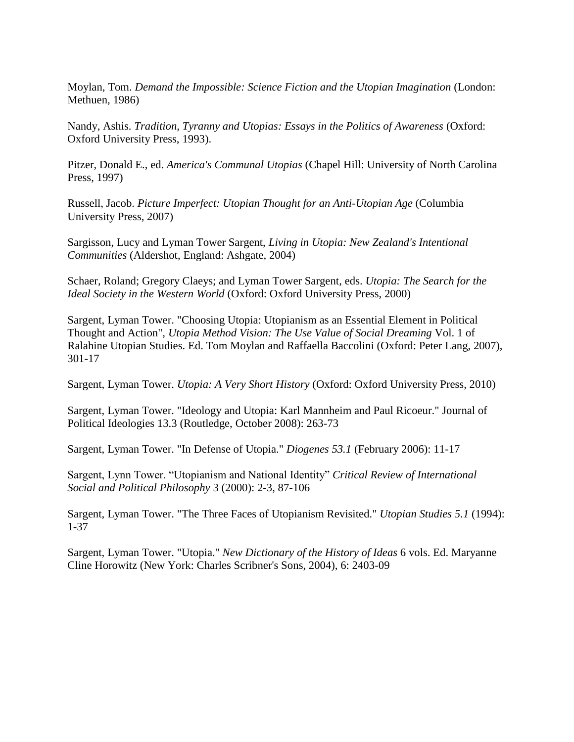Moylan, Tom. *Demand the Impossible: Science Fiction and the Utopian Imagination* (London: Methuen, 1986)

Nandy, Ashis. *Tradition, Tyranny and Utopias: Essays in the Politics of Awareness* (Oxford: Oxford University Press, 1993).

Pitzer, Donald E., ed. *America's Communal Utopias* (Chapel Hill: University of North Carolina Press, 1997)

Russell, Jacob. *Picture Imperfect: Utopian Thought for an Anti-Utopian Age* (Columbia University Press, 2007)

Sargisson, Lucy and Lyman Tower Sargent, *Living in Utopia: New Zealand's Intentional Communities* (Aldershot, England: Ashgate, 2004)

Schaer, Roland; Gregory Claeys; and Lyman Tower Sargent, eds. *Utopia: The Search for the Ideal Society in the Western World* (Oxford: Oxford University Press, 2000)

Sargent, Lyman Tower. "Choosing Utopia: Utopianism as an Essential Element in Political Thought and Action", *Utopia Method Vision: The Use Value of Social Dreaming* Vol. 1 of Ralahine Utopian Studies. Ed. Tom Moylan and Raffaella Baccolini (Oxford: Peter Lang, 2007), 301-17

Sargent, Lyman Tower. *Utopia: A Very Short History* (Oxford: Oxford University Press, 2010)

Sargent, Lyman Tower. "Ideology and Utopia: Karl Mannheim and Paul Ricoeur." Journal of Political Ideologies 13.3 (Routledge, October 2008): 263-73

Sargent, Lyman Tower. "In Defense of Utopia." *Diogenes 53.1* (February 2006): 11-17

Sargent, Lynn Tower. "Utopianism and National Identity" *Critical Review of International Social and Political Philosophy* 3 (2000): 2-3, 87-106

Sargent, Lyman Tower. "The Three Faces of Utopianism Revisited." *Utopian Studies 5.1* (1994): 1-37

Sargent, Lyman Tower. "Utopia." *New Dictionary of the History of Ideas* 6 vols. Ed. Maryanne Cline Horowitz (New York: Charles Scribner's Sons, 2004), 6: 2403-09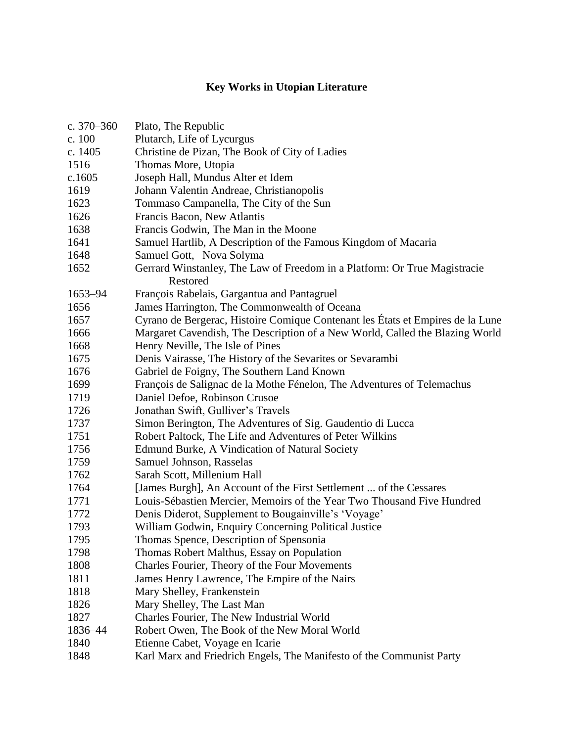## **Key Works in Utopian Literature**

| c. $370 - 360$ | Plato, The Republic                                                                   |
|----------------|---------------------------------------------------------------------------------------|
| c. 100         | Plutarch, Life of Lycurgus                                                            |
| c. 1405        | Christine de Pizan, The Book of City of Ladies                                        |
| 1516           | Thomas More, Utopia                                                                   |
| c.1605         | Joseph Hall, Mundus Alter et Idem                                                     |
| 1619           | Johann Valentin Andreae, Christianopolis                                              |
| 1623           | Tommaso Campanella, The City of the Sun                                               |
| 1626           | Francis Bacon, New Atlantis                                                           |
| 1638           | Francis Godwin, The Man in the Moone                                                  |
| 1641           | Samuel Hartlib, A Description of the Famous Kingdom of Macaria                        |
| 1648           | Samuel Gott, Nova Solyma                                                              |
| 1652           | Gerrard Winstanley, The Law of Freedom in a Platform: Or True Magistracie<br>Restored |
| 1653-94        | François Rabelais, Gargantua and Pantagruel                                           |
| 1656           | James Harrington, The Commonwealth of Oceana                                          |
| 1657           | Cyrano de Bergerac, Histoire Comique Contenant les États et Empires de la Lune        |
| 1666           | Margaret Cavendish, The Description of a New World, Called the Blazing World          |
| 1668           | Henry Neville, The Isle of Pines                                                      |
| 1675           | Denis Vairasse, The History of the Sevarites or Sevarambi                             |
| 1676           | Gabriel de Foigny, The Southern Land Known                                            |
| 1699           | François de Salignac de la Mothe Fénelon, The Adventures of Telemachus                |
| 1719           | Daniel Defoe, Robinson Crusoe                                                         |
| 1726           | Jonathan Swift, Gulliver's Travels                                                    |
| 1737           | Simon Berington, The Adventures of Sig. Gaudentio di Lucca                            |
| 1751           | Robert Paltock, The Life and Adventures of Peter Wilkins                              |
| 1756           | Edmund Burke, A Vindication of Natural Society                                        |
| 1759           | Samuel Johnson, Rasselas                                                              |
| 1762           | Sarah Scott, Millenium Hall                                                           |
| 1764           | [James Burgh], An Account of the First Settlement  of the Cessares                    |
| 1771           | Louis-Sébastien Mercier, Memoirs of the Year Two Thousand Five Hundred                |
| 1772           | Denis Diderot, Supplement to Bougainville's 'Voyage'                                  |
| 1793           | William Godwin, Enquiry Concerning Political Justice                                  |
| 1795           | Thomas Spence, Description of Spensonia                                               |
| 1798           | Thomas Robert Malthus, Essay on Population                                            |
| 1808           | Charles Fourier, Theory of the Four Movements                                         |
| 1811           | James Henry Lawrence, The Empire of the Nairs                                         |
| 1818           | Mary Shelley, Frankenstein                                                            |
| 1826           | Mary Shelley, The Last Man                                                            |
| 1827           | Charles Fourier, The New Industrial World                                             |
| 1836-44        | Robert Owen, The Book of the New Moral World                                          |
| 1840           | Etienne Cabet, Voyage en Icarie                                                       |
|                |                                                                                       |

1848 Karl Marx and Friedrich Engels, The Manifesto of the Communist Party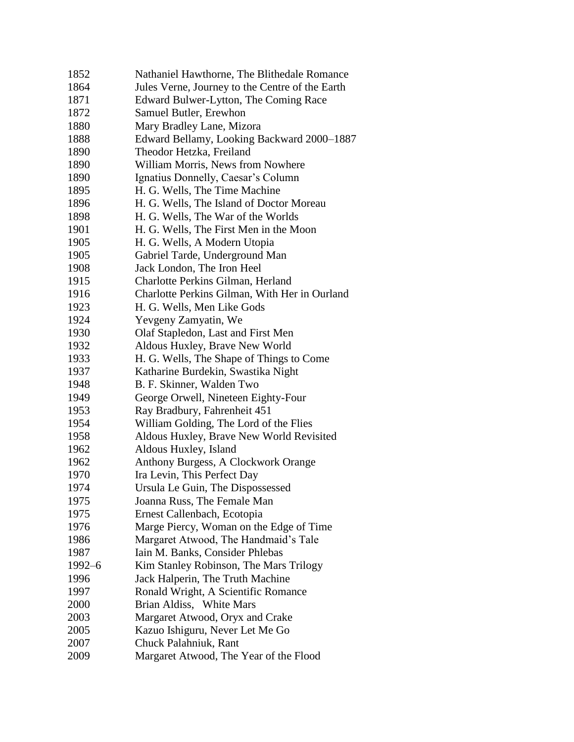| 1852       | Nathaniel Hawthorne, The Blithedale Romance     |
|------------|-------------------------------------------------|
| 1864       | Jules Verne, Journey to the Centre of the Earth |
| 1871       | Edward Bulwer-Lytton, The Coming Race           |
| 1872       | Samuel Butler, Erewhon                          |
| 1880       | Mary Bradley Lane, Mizora                       |
| 1888       | Edward Bellamy, Looking Backward 2000-1887      |
| 1890       | Theodor Hetzka, Freiland                        |
| 1890       | William Morris, News from Nowhere               |
| 1890       | Ignatius Donnelly, Caesar's Column              |
| 1895       | H. G. Wells, The Time Machine                   |
| 1896       | H. G. Wells, The Island of Doctor Moreau        |
| 1898       | H. G. Wells, The War of the Worlds              |
| 1901       | H. G. Wells, The First Men in the Moon          |
| 1905       | H. G. Wells, A Modern Utopia                    |
| 1905       | Gabriel Tarde, Underground Man                  |
| 1908       | Jack London, The Iron Heel                      |
| 1915       | Charlotte Perkins Gilman, Herland               |
| 1916       | Charlotte Perkins Gilman, With Her in Ourland   |
| 1923       | H. G. Wells, Men Like Gods                      |
| 1924       | Yevgeny Zamyatin, We                            |
| 1930       | Olaf Stapledon, Last and First Men              |
| 1932       | Aldous Huxley, Brave New World                  |
| 1933       | H. G. Wells, The Shape of Things to Come        |
| 1937       | Katharine Burdekin, Swastika Night              |
| 1948       | B. F. Skinner, Walden Two                       |
| 1949       | George Orwell, Nineteen Eighty-Four             |
| 1953       | Ray Bradbury, Fahrenheit 451                    |
| 1954       | William Golding, The Lord of the Flies          |
| 1958       | Aldous Huxley, Brave New World Revisited        |
| 1962       | Aldous Huxley, Island                           |
| 1962       | Anthony Burgess, A Clockwork Orange             |
| 1970       | Ira Levin, This Perfect Day                     |
| 1974       | Ursula Le Guin, The Dispossessed                |
| 1975       | Joanna Russ, The Female Man                     |
| 1975       | Ernest Callenbach, Ecotopia                     |
| 1976       | Marge Piercy, Woman on the Edge of Time         |
| 1986       | Margaret Atwood, The Handmaid's Tale            |
| 1987       | Iain M. Banks, Consider Phlebas                 |
| $1992 - 6$ | Kim Stanley Robinson, The Mars Trilogy          |
| 1996       | Jack Halperin, The Truth Machine                |
| 1997       | Ronald Wright, A Scientific Romance             |
| 2000       | Brian Aldiss, White Mars                        |
| 2003       | Margaret Atwood, Oryx and Crake                 |
| 2005       | Kazuo Ishiguru, Never Let Me Go                 |
| 2007       | Chuck Palahniuk, Rant                           |
| 2009       | Margaret Atwood, The Year of the Flood          |
|            |                                                 |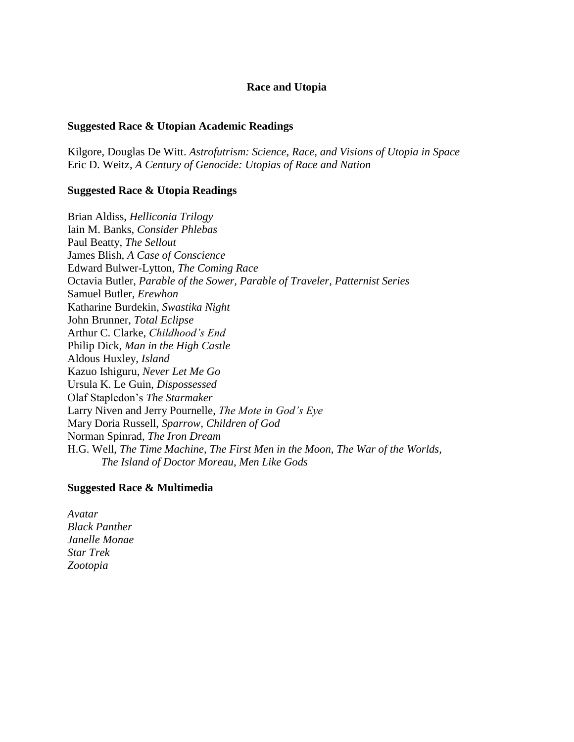#### **Race and Utopia**

#### **Suggested Race & Utopian Academic Readings**

Kilgore, Douglas De Witt. *Astrofutrism: Science, Race, and Visions of Utopia in Space* Eric D. Weitz, *A Century of Genocide: Utopias of Race and Nation*

#### **Suggested Race & Utopia Readings**

Brian Aldiss, *Helliconia Trilogy* Iain M. Banks, *Consider Phlebas* Paul Beatty, *The Sellout* James Blish, *A Case of Conscience* Edward Bulwer-Lytton, *The Coming Race* Octavia Butler, *Parable of the Sower, Parable of Traveler, Patternist Series* Samuel Butler, *Erewhon* Katharine Burdekin, *Swastika Night* John Brunner, *Total Eclipse*  Arthur C. Clarke, *Childhood's End* Philip Dick, *Man in the High Castle* Aldous Huxley, *Island* Kazuo Ishiguru, *Never Let Me Go* Ursula K. Le Guin, *Dispossessed*  Olaf Stapledon's *The Starmaker* Larry Niven and Jerry Pournelle, *The Mote in God's Eye* Mary Doria Russell, *Sparrow, Children of God* Norman Spinrad, *The Iron Dream* H.G. Well, *The Time Machine, The First Men in the Moon, The War of the Worlds, The Island of Doctor Moreau, Men Like Gods*

#### **Suggested Race & Multimedia**

*Avatar Black Panther Janelle Monae Star Trek Zootopia*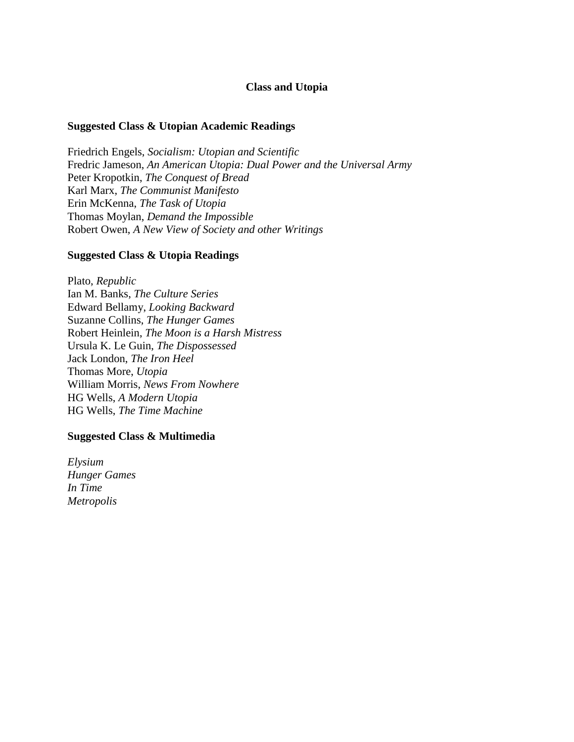### **Class and Utopia**

#### **Suggested Class & Utopian Academic Readings**

Friedrich Engels, *Socialism: Utopian and Scientific* Fredric Jameson, *An American Utopia: Dual Power and the Universal Army* Peter Kropotkin, *The Conquest of Bread* Karl Marx, *The Communist Manifesto* Erin McKenna, *The Task of Utopia* Thomas Moylan, *Demand the Impossible* Robert Owen, *A New View of Society and other Writings*

#### **Suggested Class & Utopia Readings**

Plato, *Republic*  Ian M. Banks, *The Culture Series* Edward Bellamy, *Looking Backward* Suzanne Collins, *The Hunger Games* Robert Heinlein, *The Moon is a Harsh Mistress* Ursula K. Le Guin, *The Dispossessed* Jack London, *The Iron Heel* Thomas More, *Utopia* William Morris, *News From Nowhere* HG Wells, *A Modern Utopia* HG Wells, *The Time Machine*

#### **Suggested Class & Multimedia**

*Elysium Hunger Games In Time Metropolis*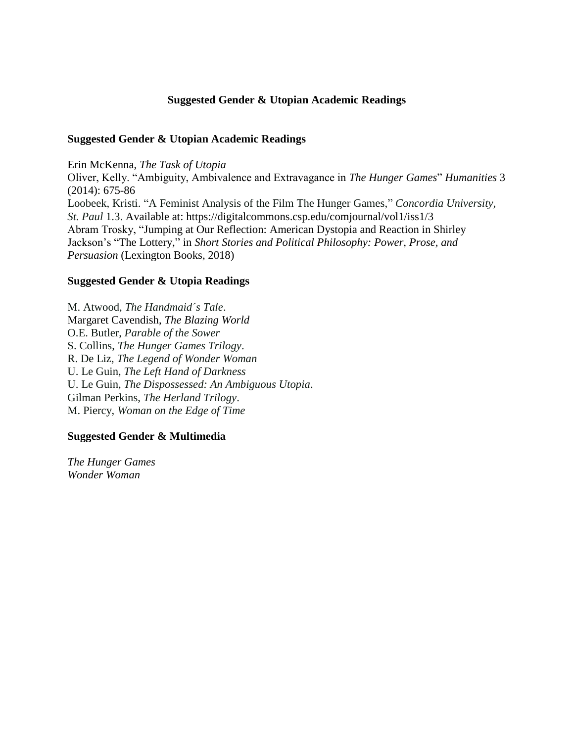### **Suggested Gender & Utopian Academic Readings**

### **Suggested Gender & Utopian Academic Readings**

Erin McKenna, *The Task of Utopia*

Oliver, Kelly. "Ambiguity, Ambivalence and Extravagance in *The Hunger Games*" *Humanities* 3 (2014): 675-86 Loobeek, Kristi. "A Feminist Analysis of the Film The Hunger Games," *Concordia University, St. Paul* 1.3. Available at: https://digitalcommons.csp.edu/comjournal/vol1/iss1/3 Abram Trosky, "Jumping at Our Reflection: American Dystopia and Reaction in Shirley Jackson's "The Lottery," in *Short Stories and Political Philosophy: Power, Prose, and Persuasion* (Lexington Books, 2018)

### **Suggested Gender & Utopia Readings**

M. Atwood, *The Handmaid´s Tale*. Margaret Cavendish, *The Blazing World* O.E. Butler, *Parable of the Sower* S. Collins, *The Hunger Games Trilogy*. R. De Liz, *The Legend of Wonder Woman*  U. Le Guin, *The Left Hand of Darkness* U. Le Guin, *The Dispossessed: An Ambiguous Utopia*. Gilman Perkins, *The Herland Trilogy*. M. Piercy, *Woman on the Edge of Time*

### **Suggested Gender & Multimedia**

*The Hunger Games Wonder Woman*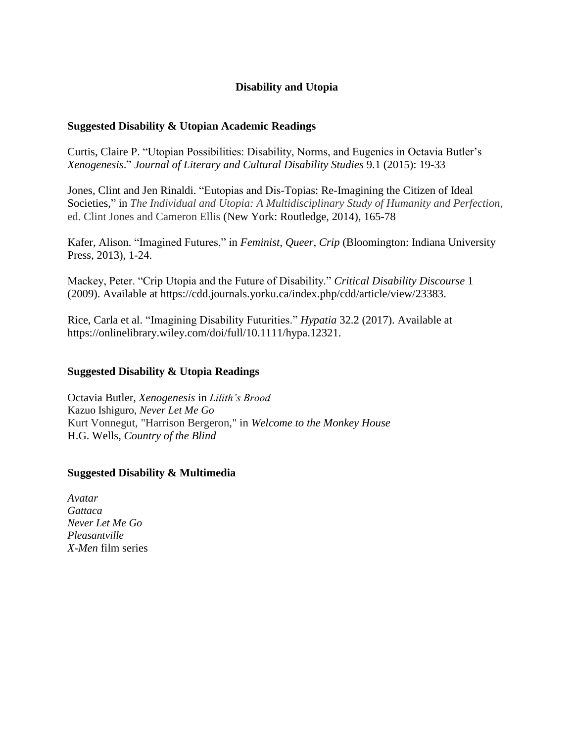### **Disability and Utopia**

### **Suggested Disability & Utopian Academic Readings**

Curtis, Claire P. "Utopian Possibilities: Disability, Norms, and Eugenics in Octavia Butler's *Xenogenesis*." *Journal of Literary and Cultural Disability Studies* 9.1 (2015): 19-33

Jones, Clint and Jen Rinaldi. "Eutopias and Dis-Topias: Re-Imagining the Citizen of Ideal Societies," in *The Individual and Utopia: A Multidisciplinary Study of Humanity and Perfection*, ed. Clint Jones and Cameron Ellis (New York: Routledge, 2014), 165-78

Kafer, Alison. "Imagined Futures," in *Feminist, Queer*, *Crip* (Bloomington: Indiana University Press, 2013), 1-24.

Mackey, Peter. "Crip Utopia and the Future of Disability." *Critical Disability Discourse* 1 (2009). Available at https://cdd.journals.yorku.ca/index.php/cdd/article/view/23383.

Rice, Carla et al. "Imagining Disability Futurities." *Hypatia* 32.2 (2017). Available at https://onlinelibrary.wiley.com/doi/full/10.1111/hypa.12321.

### **Suggested Disability & Utopia Readings**

Octavia Butler, *Xenogenesis* in *Lilith's Brood* Kazuo Ishiguro, *Never Let Me Go*  Kurt Vonnegut, "Harrison Bergeron," in *[Welcome to the Monkey House](https://en.wikipedia.org/wiki/Welcome_to_the_Monkey_House)* H.G. Wells, *Country of the Blind*

### **Suggested Disability & Multimedia**

*Avatar Gattaca Never Let Me Go Pleasantville X-Men* film series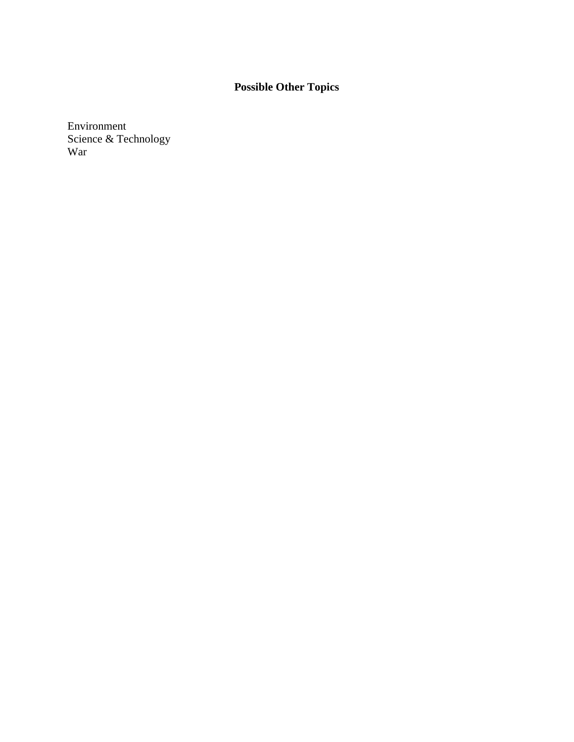# **Possible Other Topics**

Environment Science & Technology War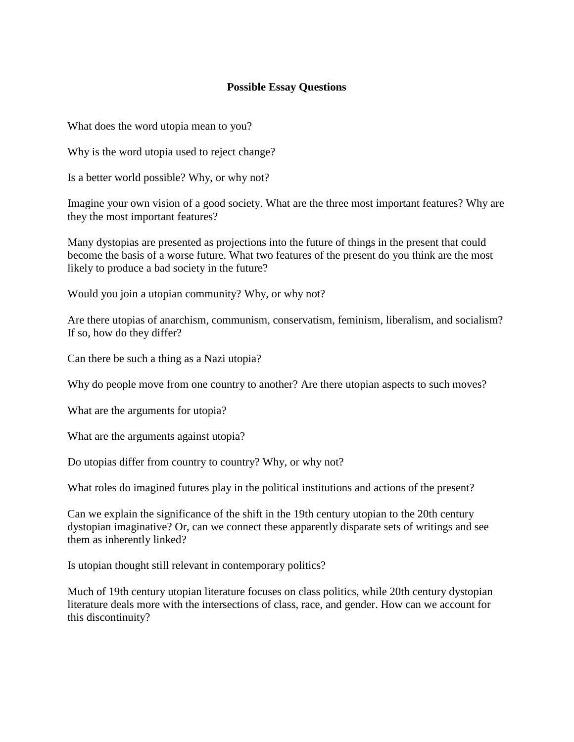### **Possible Essay Questions**

What does the word utopia mean to you?

Why is the word utopia used to reject change?

Is a better world possible? Why, or why not?

Imagine your own vision of a good society. What are the three most important features? Why are they the most important features?

Many dystopias are presented as projections into the future of things in the present that could become the basis of a worse future. What two features of the present do you think are the most likely to produce a bad society in the future?

Would you join a utopian community? Why, or why not?

Are there utopias of anarchism, communism, conservatism, feminism, liberalism, and socialism? If so, how do they differ?

Can there be such a thing as a Nazi utopia?

Why do people move from one country to another? Are there utopian aspects to such moves?

What are the arguments for utopia?

What are the arguments against utopia?

Do utopias differ from country to country? Why, or why not?

What roles do imagined futures play in the political institutions and actions of the present?

Can we explain the significance of the shift in the 19th century utopian to the 20th century dystopian imaginative? Or, can we connect these apparently disparate sets of writings and see them as inherently linked?

Is utopian thought still relevant in contemporary politics?

Much of 19th century utopian literature focuses on class politics, while 20th century dystopian literature deals more with the intersections of class, race, and gender. How can we account for this discontinuity?